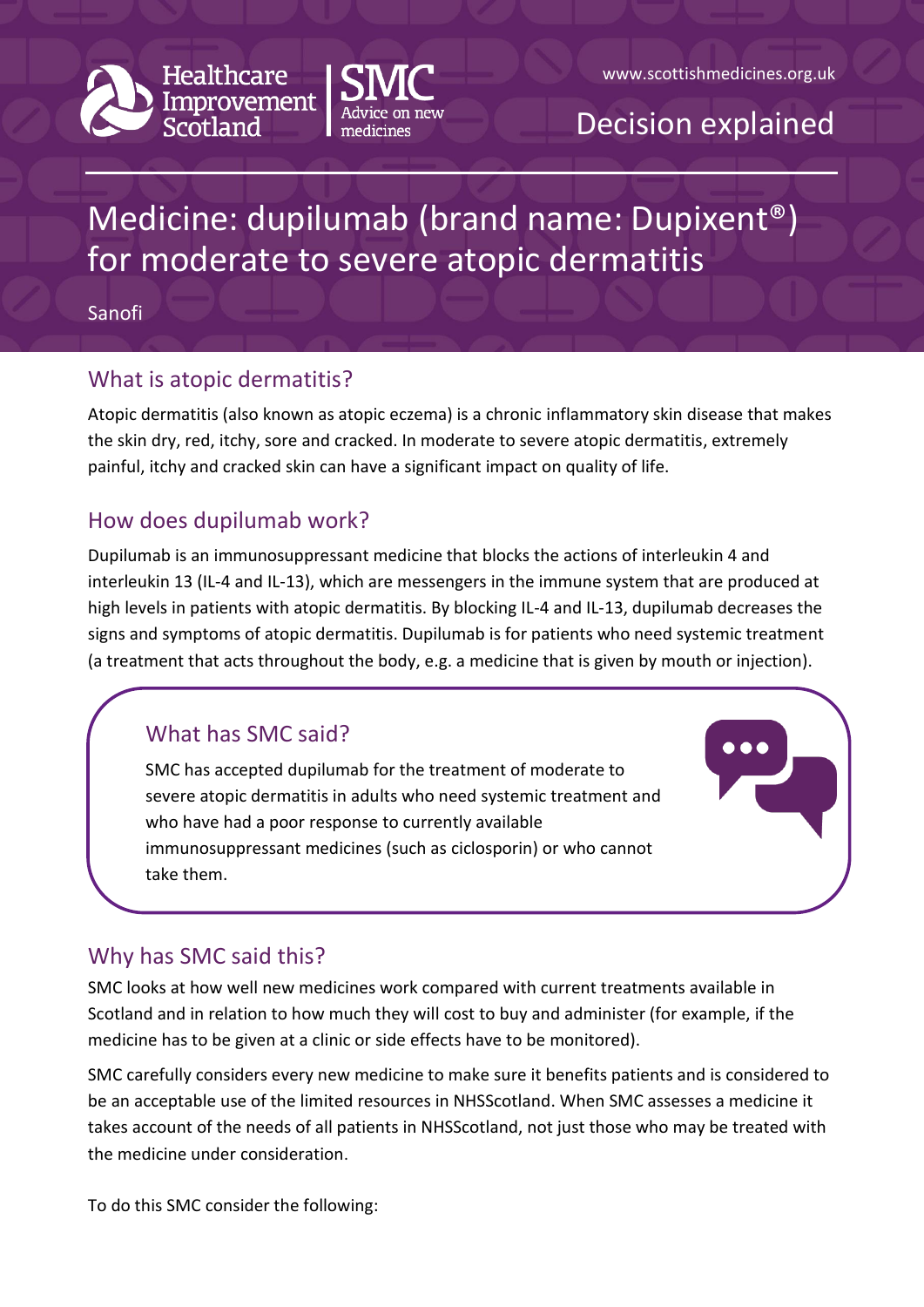



### Decision explained

# Medicine: dupilumab (brand name: Dupixent®) for moderate to severe atopic dermatitis

Sanofi

#### What is atopic dermatitis?

Atopic dermatitis (also known as atopic eczema) is a chronic inflammatory skin disease that makes the skin dry, red, itchy, sore and cracked. In moderate to severe atopic dermatitis, extremely painful, itchy and cracked skin can have a significant impact on quality of life.

#### How does dupilumab work?

Dupilumab is an immunosuppressant medicine that blocks the actions of interleukin 4 and interleukin 13 (IL-4 and IL-13), which are messengers in the immune system that are produced at high levels in patients with atopic dermatitis. By blocking IL-4 and IL-13, dupilumab decreases the signs and symptoms of atopic dermatitis. Dupilumab is for patients who need systemic treatment (a treatment that acts throughout the body, e.g. a medicine that is given by mouth or injection).

### What has SMC said?

SMC has accepted dupilumab for the treatment of moderate to severe atopic dermatitis in adults who need systemic treatment and who have had a poor response to currently available immunosuppressant medicines (such as ciclosporin) or who cannot take them.



### Why has SMC said this?

SMC looks at how well new medicines work compared with current treatments available in Scotland and in relation to how much they will cost to buy and administer (for example, if the medicine has to be given at a clinic or side effects have to be monitored).

SMC carefully considers every new medicine to make sure it benefits patients and is considered to be an acceptable use of the limited resources in NHSScotland. When SMC assesses a medicine it takes account of the needs of all patients in NHSScotland, not just those who may be treated with the medicine under consideration.

To do this SMC consider the following: